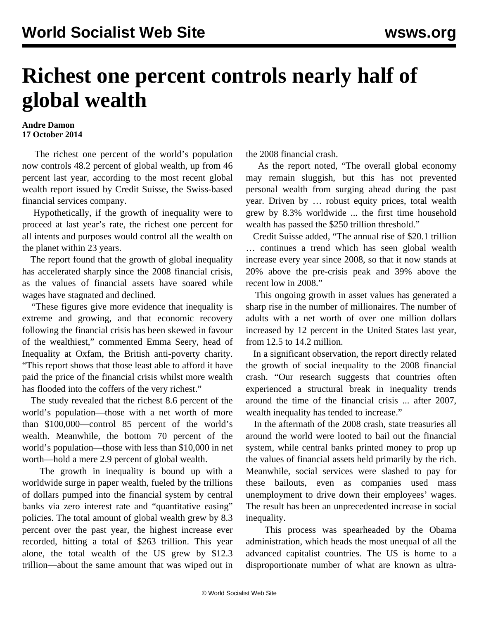## **Richest one percent controls nearly half of global wealth**

## **Andre Damon 17 October 2014**

 The richest one percent of the world's population now controls 48.2 percent of global wealth, up from 46 percent last year, according to the most recent global wealth report issued by Credit Suisse, the Swiss-based financial services company.

 Hypothetically, if the growth of inequality were to proceed at last year's rate, the richest one percent for all intents and purposes would control all the wealth on the planet within 23 years.

 The report found that the growth of global inequality has accelerated sharply since the 2008 financial crisis, as the values of financial assets have soared while wages have stagnated and declined.

 "These figures give more evidence that inequality is extreme and growing, and that economic recovery following the financial crisis has been skewed in favour of the wealthiest," commented Emma Seery, head of Inequality at Oxfam, the British anti-poverty charity. "This report shows that those least able to afford it have paid the price of the financial crisis whilst more wealth has flooded into the coffers of the very richest."

 The study revealed that the richest 8.6 percent of the world's population—those with a net worth of more than \$100,000—control 85 percent of the world's wealth. Meanwhile, the bottom 70 percent of the world's population—those with less than \$10,000 in net worth—hold a mere 2.9 percent of global wealth.

 The growth in inequality is bound up with a worldwide surge in paper wealth, fueled by the trillions of dollars pumped into the financial system by central banks via zero interest rate and "quantitative easing" policies. The total amount of global wealth grew by 8.3 percent over the past year, the highest increase ever recorded, hitting a total of \$263 trillion. This year alone, the total wealth of the US grew by \$12.3 trillion—about the same amount that was wiped out in the 2008 financial crash.

 As the report noted, "The overall global economy may remain sluggish, but this has not prevented personal wealth from surging ahead during the past year. Driven by … robust equity prices, total wealth grew by 8.3% worldwide ... the first time household wealth has passed the \$250 trillion threshold."

 Credit Suisse added, "The annual rise of \$20.1 trillion … continues a trend which has seen global wealth increase every year since 2008, so that it now stands at 20% above the pre-crisis peak and 39% above the recent low in 2008."

 This ongoing growth in asset values has generated a sharp rise in the number of millionaires. The number of adults with a net worth of over one million dollars increased by 12 percent in the United States last year, from 12.5 to 14.2 million.

 In a significant observation, the report directly related the growth of social inequality to the 2008 financial crash. "Our research suggests that countries often experienced a structural break in inequality trends around the time of the financial crisis ... after 2007, wealth inequality has tended to increase."

 In the aftermath of the 2008 crash, state treasuries all around the world were looted to bail out the financial system, while central banks printed money to prop up the values of financial assets held primarily by the rich. Meanwhile, social services were slashed to pay for these bailouts, even as companies used mass unemployment to drive down their employees' wages. The result has been an unprecedented increase in social inequality.

 This process was spearheaded by the Obama administration, which heads the most unequal of all the advanced capitalist countries. The US is home to a disproportionate number of what are known as ultra